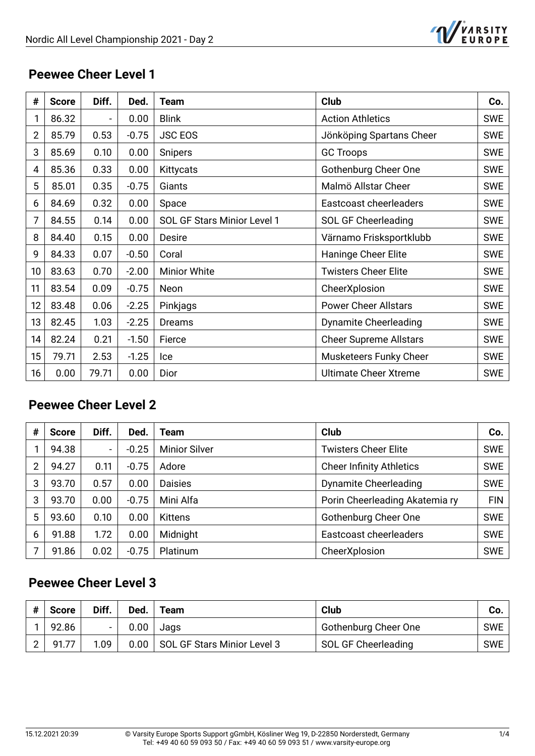

#### **Peewee Cheer Level 1**

| #  | <b>Score</b> | Diff.                    | Ded.    | <b>Team</b>                 | Club                          | Co.        |
|----|--------------|--------------------------|---------|-----------------------------|-------------------------------|------------|
|    | 86.32        | $\overline{\phantom{a}}$ | 0.00    | <b>Blink</b>                | <b>Action Athletics</b>       | <b>SWE</b> |
| 2  | 85.79        | 0.53                     | $-0.75$ | <b>JSC EOS</b>              | Jönköping Spartans Cheer      | <b>SWE</b> |
| 3  | 85.69        | 0.10                     | 0.00    | <b>Snipers</b>              | <b>GC Troops</b>              | <b>SWE</b> |
| 4  | 85.36        | 0.33                     | 0.00    | Kittycats                   | <b>Gothenburg Cheer One</b>   | <b>SWE</b> |
| 5  | 85.01        | 0.35                     | $-0.75$ | Giants                      | Malmö Allstar Cheer           | <b>SWE</b> |
| 6  | 84.69        | 0.32                     | 0.00    | Space                       | Eastcoast cheerleaders        | <b>SWE</b> |
| 7  | 84.55        | 0.14                     | 0.00    | SOL GF Stars Minior Level 1 | SOL GF Cheerleading           | <b>SWE</b> |
| 8  | 84.40        | 0.15                     | 0.00    | Desire                      | Värnamo Frisksportklubb       | <b>SWE</b> |
| 9  | 84.33        | 0.07                     | $-0.50$ | Coral                       | Haninge Cheer Elite           | <b>SWE</b> |
| 10 | 83.63        | 0.70                     | $-2.00$ | <b>Minior White</b>         | <b>Twisters Cheer Elite</b>   | <b>SWE</b> |
| 11 | 83.54        | 0.09                     | $-0.75$ | Neon                        | CheerXplosion                 | <b>SWE</b> |
| 12 | 83.48        | 0.06                     | $-2.25$ | Pinkjags                    | <b>Power Cheer Allstars</b>   | <b>SWE</b> |
| 13 | 82.45        | 1.03                     | $-2.25$ | Dreams                      | <b>Dynamite Cheerleading</b>  | <b>SWE</b> |
| 14 | 82.24        | 0.21                     | $-1.50$ | Fierce                      | <b>Cheer Supreme Allstars</b> | <b>SWE</b> |
| 15 | 79.71        | 2.53                     | $-1.25$ | Ice                         | Musketeers Funky Cheer        | <b>SWE</b> |
| 16 | 0.00         | 79.71                    | 0.00    | Dior                        | <b>Ultimate Cheer Xtreme</b>  | <b>SWE</b> |

## **Peewee Cheer Level 2**

| # | <b>Score</b> | Diff.                        | Ded.    | Team                 | <b>Club</b>                     | Co.        |
|---|--------------|------------------------------|---------|----------------------|---------------------------------|------------|
|   | 94.38        | $\qquad \qquad \blacksquare$ | $-0.25$ | <b>Minior Silver</b> | <b>Twisters Cheer Elite</b>     | <b>SWE</b> |
| 2 | 94.27        | 0.11                         | $-0.75$ | Adore                | <b>Cheer Infinity Athletics</b> | <b>SWE</b> |
| 3 | 93.70        | 0.57                         | 0.00    | <b>Daisies</b>       | <b>Dynamite Cheerleading</b>    | <b>SWE</b> |
| 3 | 93.70        | 0.00                         | $-0.75$ | Mini Alfa            | Porin Cheerleading Akatemia ry  | <b>FIN</b> |
| 5 | 93.60        | 0.10                         | 0.00    | <b>Kittens</b>       | Gothenburg Cheer One            | <b>SWE</b> |
| 6 | 91.88        | 1.72                         | 0.00    | Midnight             | Eastcoast cheerleaders          | <b>SWE</b> |
|   | 91.86        | 0.02                         | $-0.75$ | Platinum             | CheerXplosion                   | <b>SWE</b> |

## **Peewee Cheer Level 3**

| # | <b>Score</b> | Diff. | Ded. | Team                               | Club                 | Co.        |
|---|--------------|-------|------|------------------------------------|----------------------|------------|
|   | 92.86        |       | 0.00 | Jags                               | Gothenburg Cheer One | <b>SWE</b> |
|   | 91.77        | 1.09  |      | 0.00   SOL GF Stars Minior Level 3 | SOL GF Cheerleading  | <b>SWE</b> |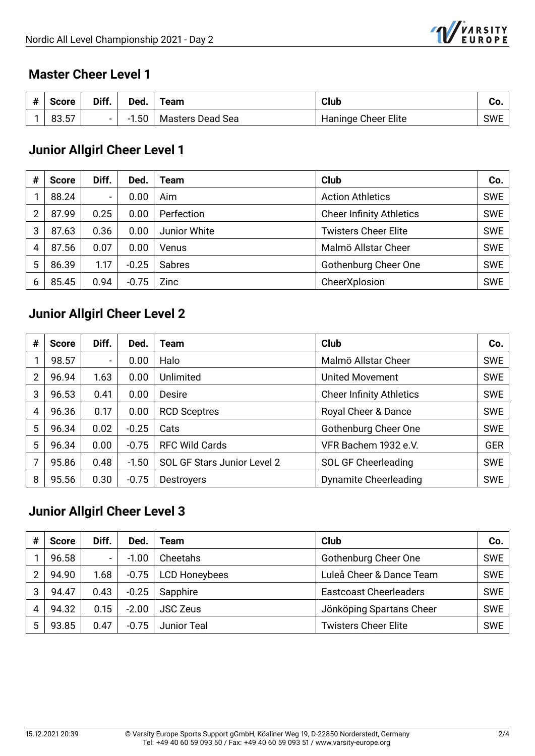

#### **Master Cheer Level 1**

| 4<br>π | Score      | Diff.  | Ded. | Team             | Club                | υυ.        |
|--------|------------|--------|------|------------------|---------------------|------------|
|        | --<br>83.5 | $\sim$ | .50  | Masters Dead Sea | Haninge Cheer Elite | <b>SWE</b> |

## **Junior Allgirl Cheer Level 1**

| # | <b>Score</b> | Diff.                    | Ded.    | Team         | Club                            | Co.        |
|---|--------------|--------------------------|---------|--------------|---------------------------------|------------|
|   | 88.24        | $\overline{\phantom{0}}$ | 0.00    | Aim          | <b>Action Athletics</b>         | <b>SWE</b> |
| 2 | 87.99        | 0.25                     | 0.00    | Perfection   | <b>Cheer Infinity Athletics</b> | <b>SWE</b> |
| 3 | 87.63        | 0.36                     | 0.00    | Junior White | <b>Twisters Cheer Elite</b>     | <b>SWE</b> |
| 4 | 87.56        | 0.07                     | 0.00    | Venus        | Malmö Allstar Cheer             | <b>SWE</b> |
| 5 | 86.39        | 1.17                     | $-0.25$ | Sabres       | Gothenburg Cheer One            | <b>SWE</b> |
| 6 | 85.45        | 0.94                     | $-0.75$ | Zinc         | CheerXplosion                   | <b>SWE</b> |

## **Junior Allgirl Cheer Level 2**

| # | <b>Score</b> | Diff. | Ded.    | Team                        | <b>Club</b>                     | Co.        |
|---|--------------|-------|---------|-----------------------------|---------------------------------|------------|
|   | 98.57        |       | 0.00    | Halo                        | Malmö Allstar Cheer             | <b>SWE</b> |
| 2 | 96.94        | 1.63  | 0.00    | <b>Unlimited</b>            | <b>United Movement</b>          | <b>SWE</b> |
| 3 | 96.53        | 0.41  | 0.00    | Desire                      | <b>Cheer Infinity Athletics</b> | <b>SWE</b> |
| 4 | 96.36        | 0.17  | 0.00    | <b>RCD Sceptres</b>         | Royal Cheer & Dance             | <b>SWE</b> |
| 5 | 96.34        | 0.02  | $-0.25$ | Cats                        | <b>Gothenburg Cheer One</b>     | <b>SWE</b> |
| 5 | 96.34        | 0.00  | $-0.75$ | <b>RFC Wild Cards</b>       | VFR Bachem 1932 e.V.            | <b>GER</b> |
|   | 95.86        | 0.48  | $-1.50$ | SOL GF Stars Junior Level 2 | SOL GF Cheerleading             | <b>SWE</b> |
| 8 | 95.56        | 0.30  | $-0.75$ | <b>Destroyers</b>           | Dynamite Cheerleading           | <b>SWE</b> |

## **Junior Allgirl Cheer Level 3**

| # | <b>Score</b> | Diff.          | Ded.    | Team                 | <b>Club</b>                   | Co.        |
|---|--------------|----------------|---------|----------------------|-------------------------------|------------|
|   | 96.58        | $\blacksquare$ | $-1.00$ | Cheetahs             | Gothenburg Cheer One          | <b>SWE</b> |
| 2 | 94.90        | 1.68           | $-0.75$ | <b>LCD Honeybees</b> | Luleå Cheer & Dance Team      | <b>SWE</b> |
| 3 | 94.47        | 0.43           | $-0.25$ | Sapphire             | <b>Eastcoast Cheerleaders</b> | <b>SWE</b> |
| 4 | 94.32        | 0.15           | $-2.00$ | <b>JSC Zeus</b>      | Jönköping Spartans Cheer      | <b>SWE</b> |
| 5 | 93.85        | 0.47           | $-0.75$ | <b>Junior Teal</b>   | <b>Twisters Cheer Elite</b>   | <b>SWE</b> |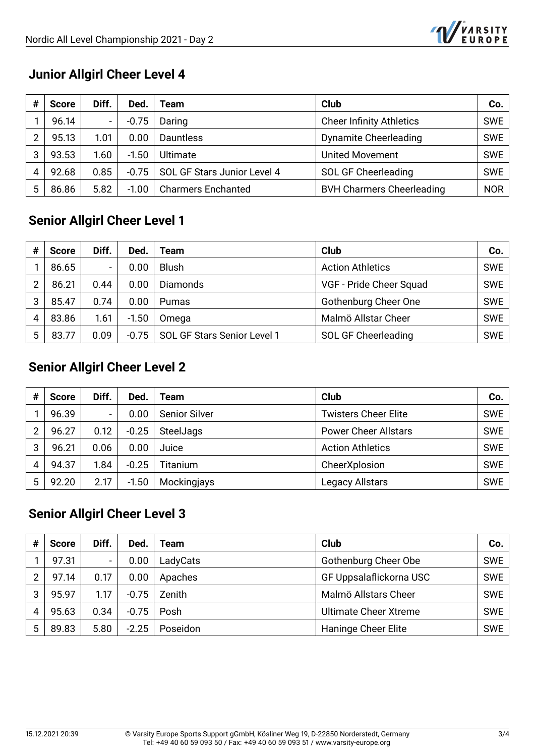

## **Junior Allgirl Cheer Level 4**

| # | <b>Score</b> | Diff.                    | Ded     | Team                        | Club                             | Co.        |
|---|--------------|--------------------------|---------|-----------------------------|----------------------------------|------------|
|   | 96.14        | $\overline{\phantom{0}}$ | $-0.75$ | Daring                      | <b>Cheer Infinity Athletics</b>  | <b>SWE</b> |
| 2 | 95.13        | 1.01                     | 0.00    | <b>Dauntless</b>            | <b>Dynamite Cheerleading</b>     | <b>SWE</b> |
| 3 | 93.53        | 1.60                     | $-1.50$ | Ultimate                    | <b>United Movement</b>           | <b>SWE</b> |
| 4 | 92.68        | 0.85                     | $-0.75$ | SOL GF Stars Junior Level 4 | <b>SOL GF Cheerleading</b>       | <b>SWE</b> |
| 5 | 86.86        | 5.82                     | $-1.00$ | <b>Charmers Enchanted</b>   | <b>BVH Charmers Cheerleading</b> | <b>NOR</b> |

## **Senior Allgirl Cheer Level 1**

| # | <b>Score</b> | Diff.                    | Ded.    | Team                        | <b>Club</b>                | Co.        |
|---|--------------|--------------------------|---------|-----------------------------|----------------------------|------------|
|   | 86.65        | $\overline{\phantom{0}}$ | 0.00    | <b>Blush</b>                | <b>Action Athletics</b>    | <b>SWE</b> |
| 2 | 86.21        | 0.44                     | 0.00    | <b>Diamonds</b>             | VGF - Pride Cheer Squad    | <b>SWE</b> |
| 3 | 85.47        | 0.74                     | 0.00    | Pumas                       | Gothenburg Cheer One       | <b>SWE</b> |
| 4 | 83.86        | 1.61                     | $-1.50$ | Omega                       | Malmö Allstar Cheer        | <b>SWE</b> |
| 5 | 83.77        | 0.09                     | $-0.75$ | SOL GF Stars Senior Level 1 | <b>SOL GF Cheerleading</b> | <b>SWE</b> |

#### **Senior Allgirl Cheer Level 2**

| # | <b>Score</b> | Diff. | Ded.    | Team                 | Club                        | Co.        |
|---|--------------|-------|---------|----------------------|-----------------------------|------------|
|   | 96.39        |       | 0.00    | <b>Senior Silver</b> | <b>Twisters Cheer Elite</b> | <b>SWE</b> |
| ∩ | 96.27        | 0.12  | $-0.25$ | SteelJags            | <b>Power Cheer Allstars</b> | <b>SWE</b> |
| 3 | 96.21        | 0.06  | 0.00    | Juice                | <b>Action Athletics</b>     | <b>SWE</b> |
| 4 | 94.37        | l.84  | $-0.25$ | Titanium             | CheerXplosion               | <b>SWE</b> |
| 5 | 92.20        | 2.17  | $-1.50$ | Mockingjays          | <b>Legacy Allstars</b>      | <b>SWE</b> |

## **Senior Allgirl Cheer Level 3**

| # | <b>Score</b> | Diff.  | Ded.    | Team     | <b>Club</b>                  | Co.        |
|---|--------------|--------|---------|----------|------------------------------|------------|
|   | 97.31        | $\sim$ | 0.00    | LadyCats | Gothenburg Cheer Obe         | <b>SWE</b> |
| 2 | 97.14        | 0.17   | 0.00    | Apaches  | GF Uppsalaflickorna USC      | SWE        |
| 3 | 95.97        | 1.17   | $-0.75$ | Zenith   | Malmö Allstars Cheer         | <b>SWE</b> |
| 4 | 95.63        | 0.34   | $-0.75$ | Posh     | <b>Ultimate Cheer Xtreme</b> | <b>SWE</b> |
| 5 | 89.83        | 5.80   | $-2.25$ | Poseidon | Haninge Cheer Elite          | <b>SWE</b> |